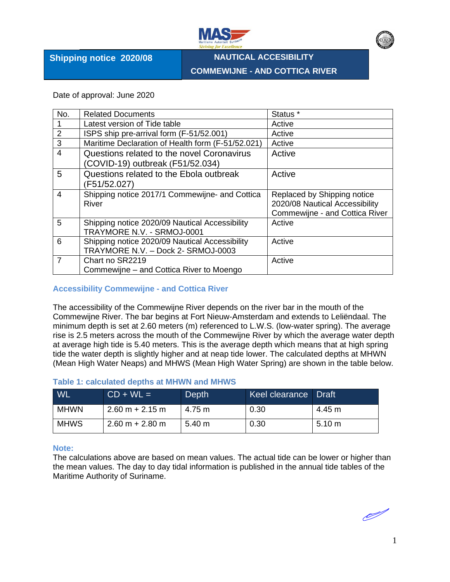

**Shipping notice 2020/08**

**NAUTICAL ACCESIBILITY COMMEWIJNE - AND COTTICA RIVER**

Date of approval: June 2020

| No.            | <b>Related Documents</b>                          | Status <sup>*</sup>                   |
|----------------|---------------------------------------------------|---------------------------------------|
|                | Latest version of Tide table                      | Active                                |
| $\overline{2}$ | ISPS ship pre-arrival form (F-51/52.001)          | Active                                |
| 3              | Maritime Declaration of Health form (F-51/52.021) | Active                                |
| 4              | Questions related to the novel Coronavirus        | Active                                |
|                | (COVID-19) outbreak (F51/52.034)                  |                                       |
| 5              | Questions related to the Ebola outbreak           | Active                                |
|                | (F51/52.027)                                      |                                       |
| 4              | Shipping notice 2017/1 Commewijne- and Cottica    | Replaced by Shipping notice           |
|                | River                                             | 2020/08 Nautical Accessibility        |
|                |                                                   | <b>Commewijne - and Cottica River</b> |
| 5              | Shipping notice 2020/09 Nautical Accessibility    | Active                                |
|                | TRAYMORE N.V. - SRMOJ-0001                        |                                       |
| 6              | Shipping notice 2020/09 Nautical Accessibility    | Active                                |
|                | TRAYMORE N.V. - Dock 2- SRMOJ-0003                |                                       |
| $\overline{7}$ | Chart no SR2219                                   | Active                                |
|                | Commewijne – and Cottica River to Moengo          |                                       |

#### **Accessibility Commewijne - and Cottica River**

The accessibility of the Commewijne River depends on the river bar in the mouth of the Commewijne River. The bar begins at Fort Nieuw-Amsterdam and extends to Leliëndaal. The minimum depth is set at 2.60 meters (m) referenced to L.W.S. (low-water spring). The average rise is 2.5 meters across the mouth of the Commewijne River by which the average water depth at average high tide is 5.40 meters. This is the average depth which means that at high spring tide the water depth is slightly higher and at neap tide lower. The calculated depths at MHWN (Mean High Water Neaps) and MHWS (Mean High Water Spring) are shown in the table below.

| WL          | $CD + WL =$       | Depth  | Keel clearance Draft |                  |
|-------------|-------------------|--------|----------------------|------------------|
| <b>MHWN</b> | $2.60 m + 2.15 m$ | 4.75 m | 0.30                 | 4.45 m           |
| <b>MHWS</b> | $2.60 m + 2.80 m$ | 5.40 m | 0.30                 | $5.10 \text{ m}$ |

## **Table 1: calculated depths at MHWN and MHWS**

#### **Note:**

The calculations above are based on mean values. The actual tide can be lower or higher than the mean values. The day to day tidal information is published in the annual tide tables of the Maritime Authority of Suriname.

I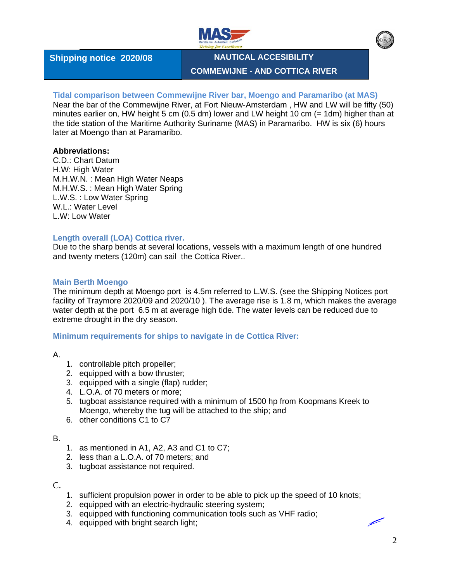



**Shipping notice 2020/08**

**NAUTICAL ACCESIBILITY COMMEWIJNE - AND COTTICA RIVER**

# **Tidal comparison between Commewijne River bar, Moengo and Paramaribo (at MAS)**

Near the bar of the Commewijne River, at Fort Nieuw-Amsterdam , HW and LW will be fifty (50) minutes earlier on, HW height 5 cm (0.5 dm) lower and LW height 10 cm (= 1dm) higher than at the tide station of the Maritime Authority Suriname (MAS) in Paramaribo. HW is six (6) hours later at Moengo than at Paramaribo.

# **Abbreviations:**

C.D.: Chart Datum H.W: High Water M.H.W.N. : Mean High Water Neaps M.H.W.S. : Mean High Water Spring L.W.S. : Low Water Spring W.L.: Water Level L.W: Low Water

## **Length overall (LOA) Cottica river.**

Due to the sharp bends at several locations, vessels with a maximum length of one hundred and twenty meters (120m) can sail the Cottica River..

## **Main Berth Moengo**

The minimum depth at Moengo port is 4.5m referred to L.W.S. (see the Shipping Notices port facility of Traymore 2020/09 and 2020/10 ). The average rise is 1.8 m, which makes the average water depth at the port 6.5 m at average high tide. The water levels can be reduced due to extreme drought in the dry season.

**Minimum requirements for ships to navigate in de Cottica River:** 

A.

- 1. controllable pitch propeller;
- 2. equipped with a bow thruster;
- 3. equipped with a single (flap) rudder;
- 4. L.O.A. of 70 meters or more;
- 5. tugboat assistance required with a minimum of 1500 hp from Koopmans Kreek to Moengo, whereby the tug will be attached to the ship; and
- 6. other conditions C1 to C7

#### B.

- 1. as mentioned in A1, A2, A3 and C1 to C7;
- 2. less than a L.O.A. of 70 meters; and
- 3. tugboat assistance not required.

#### C.

- 1. sufficient propulsion power in order to be able to pick up the speed of 10 knots;
- 2. equipped with an electric-hydraulic steering system;
- 3. equipped with functioning communication tools such as VHF radio;
- 4. equipped with bright search light;

2